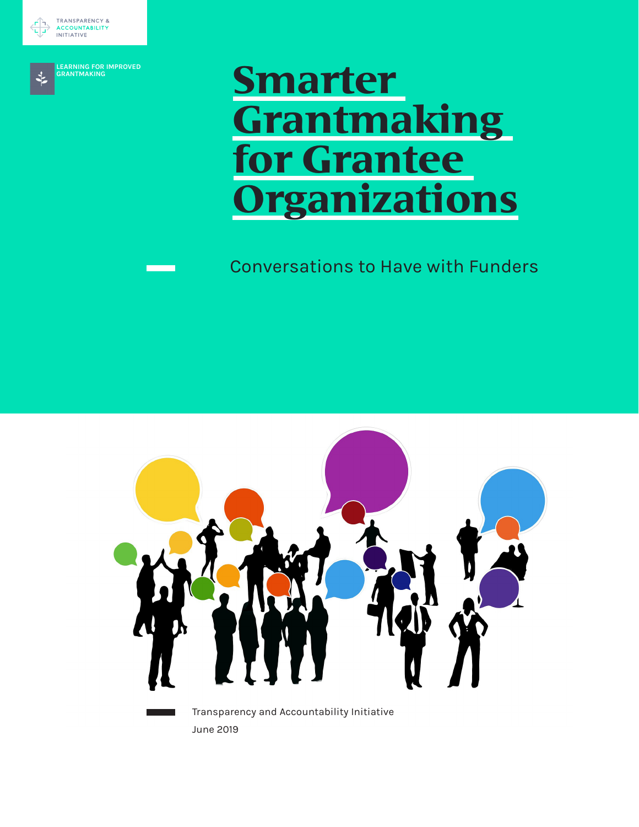



**LEARNING FOR IMPROVED GRANTMAKING**

# **Smarter Grantmaking**  *f* Grantee **Organizations**

# Conversations to Have with Funders



Transparency and Accountability Initiative June 2019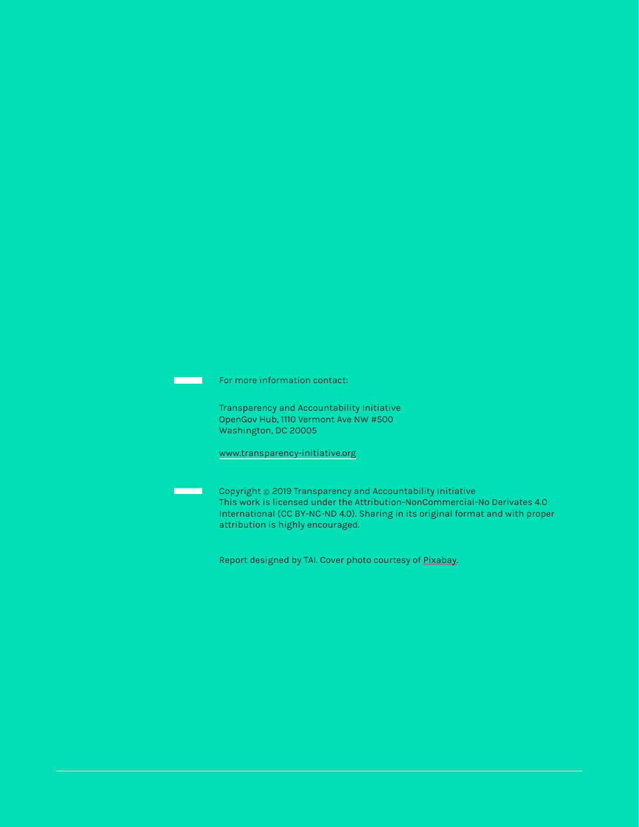For more information contact:

Transparency and Accountability Initiative OpenGov Hub, 1110 Vermont Ave NW #500 Washington, DC 20005

[www.transparency-initiative.org](http://www.transparency-initiative.org)

Copyright © 2019 Transparency and Accountability Initiative This work is licensed under the Attribution-NonCommercial-No Derivates 4.0 International (CC BY-NC-ND 4.0). Sharing in its original format and with proper attribution is highly encouraged.

Report designed by TAI. Cover photo courtesy of [Pixabay.](https://pixabay.com/illustrations/feedback-confirming-businessmen-2990424/)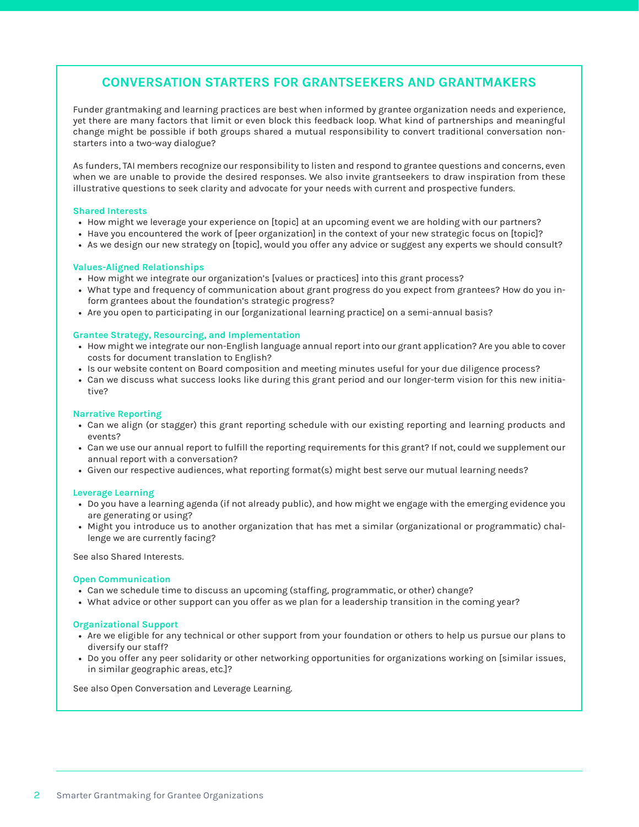### **CONVERSATION STARTERS FOR GRANTSEEKERS AND GRANTMAKERS**

Funder grantmaking and learning practices are best when informed by grantee organization needs and experience, yet there are many factors that limit or even block this feedback loop. What kind of partnerships and meaningful change might be possible if both groups shared a mutual responsibility to convert traditional conversation nonstarters into a two-way dialogue?

As funders, TAI members recognize our responsibility to listen and respond to grantee questions and concerns, even when we are unable to provide the desired responses. We also invite grantseekers to draw inspiration from these illustrative questions to seek clarity and advocate for your needs with current and prospective funders.

#### **Shared Interests**

- How might we leverage your experience on [topic] at an upcoming event we are holding with our partners?
- Have you encountered the work of [peer organization] in the context of your new strategic focus on [topic]?
- As we design our new strategy on [topic], would you offer any advice or suggest any experts we should consult?

#### **Values-Aligned Relationships**

- How might we integrate our organization's [values or practices] into this grant process?
- What type and frequency of communication about grant progress do you expect from grantees? How do you inform grantees about the foundation's strategic progress?
- Are you open to participating in our [organizational learning practice] on a semi-annual basis?

#### **Grantee Strategy, Resourcing, and Implementation**

- How might we integrate our non-English language annual report into our grant application? Are you able to cover costs for document translation to English?
- Is our website content on Board composition and meeting minutes useful for your due diligence process?
- Can we discuss what success looks like during this grant period and our longer-term vision for this new initiative?

#### **Narrative Reporting**

- Can we align (or stagger) this grant reporting schedule with our existing reporting and learning products and events?
- Can we use our annual report to fulfill the reporting requirements for this grant? If not, could we supplement our annual report with a conversation?
- Given our respective audiences, what reporting format(s) might best serve our mutual learning needs?

#### **Leverage Learning**

- Do you have a learning agenda (if not already public), and how might we engage with the emerging evidence you are generating or using?
- Might you introduce us to another organization that has met a similar (organizational or programmatic) challenge we are currently facing?

See also Shared Interests.

#### **Open Communication**

- Can we schedule time to discuss an upcoming (staffing, programmatic, or other) change?
- What advice or other support can you offer as we plan for a leadership transition in the coming year?

#### **Organizational Support**

- Are we eligible for any technical or other support from your foundation or others to help us pursue our plans to diversify our staff?
- Do you offer any peer solidarity or other networking opportunities for organizations working on [similar issues, in similar geographic areas, etc.]?

See also Open Conversation and Leverage Learning.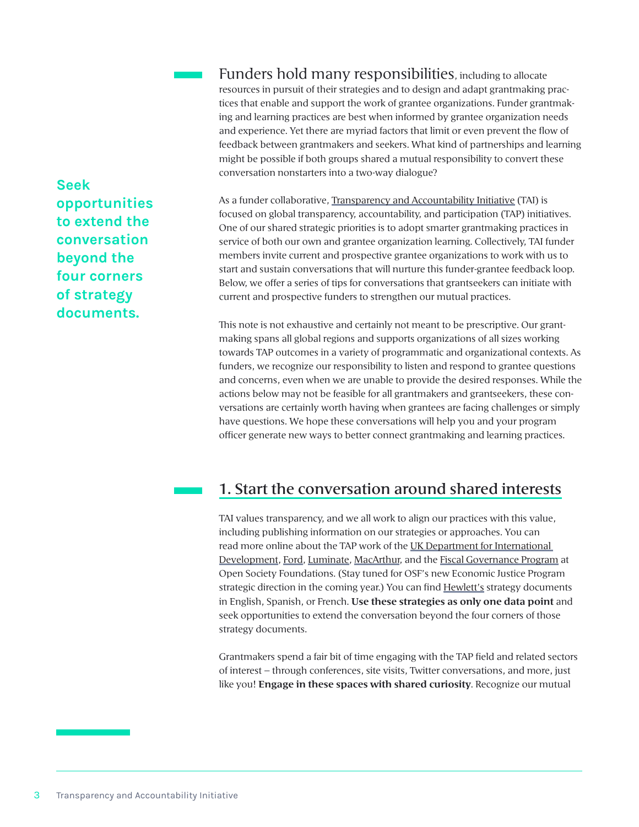Funders hold many responsibilities, including to allocate resources in pursuit of their strategies and to design and adapt grantmaking practices that enable and support the work of grantee organizations. Funder grantmaking and learning practices are best when informed by grantee organization needs and experience. Yet there are myriad factors that limit or even prevent the flow of feedback between grantmakers and seekers. What kind of partnerships and learning might be possible if both groups shared a mutual responsibility to convert these conversation nonstarters into a two-way dialogue?

**Seek opportunities to extend the conversation beyond the four corners of strategy documents.**

As a funder collaborative, [Transparency and Accountability Initiative](https://www.transparency-initiative.org/) (TAI) is focused on global transparency, accountability, and participation (TAP) initiatives. One of our shared strategic priorities is to adopt smarter grantmaking practices in service of both our own and grantee organization learning. Collectively, TAI funder members invite current and prospective grantee organizations to work with us to start and sustain conversations that will nurture this funder-grantee feedback loop. Below, we offer a series of tips for conversations that grantseekers can initiate with current and prospective funders to strengthen our mutual practices.

This note is not exhaustive and certainly not meant to be prescriptive. Our grantmaking spans all global regions and supports organizations of all sizes working towards TAP outcomes in a variety of programmatic and organizational contexts. As funders, we recognize our responsibility to listen and respond to grantee questions and concerns, even when we are unable to provide the desired responses. While the actions below may not be feasible for all grantmakers and grantseekers, these conversations are certainly worth having when grantees are facing challenges or simply have questions. We hope these conversations will help you and your program officer generate new ways to better connect grantmaking and learning practices.

## 1. Start the conversation around shared interests

TAI values transparency, and we all work to align our practices with this value, including publishing information on our strategies or approaches. You can read more online about the TAP work of the UK Department for International [Development,](https://www.gov.uk/government/publications/governance-for-growth-stability-and-inclusive-development) [Ford](https://www.fordfoundation.org/work/challenging-inequality/), [Luminate,](https://luminategroup.com/posts/news/evolving-strategy-for-changing-times) [MacArthur,](https://www.macfound.org/programs/nigeria/strategy/) and the [Fiscal Governance Program](https://www.transparency-initiative.org/blog/2213/whats-new-open-society-foundations-fiscal-governance-program/) at Open Society Foundations. (Stay tuned for OSF's new Economic Justice Program strategic direction in the coming year.) You can find **Hewlett's** strategy documents in English, Spanish, or French. **Use these strategies as only one data point** and seek opportunities to extend the conversation beyond the four corners of those strategy documents.

Grantmakers spend a fair bit of time engaging with the TAP field and related sectors of interest – through conferences, site visits, Twitter conversations, and more, just like you! **Engage in these spaces with shared curiosity**. Recognize our mutual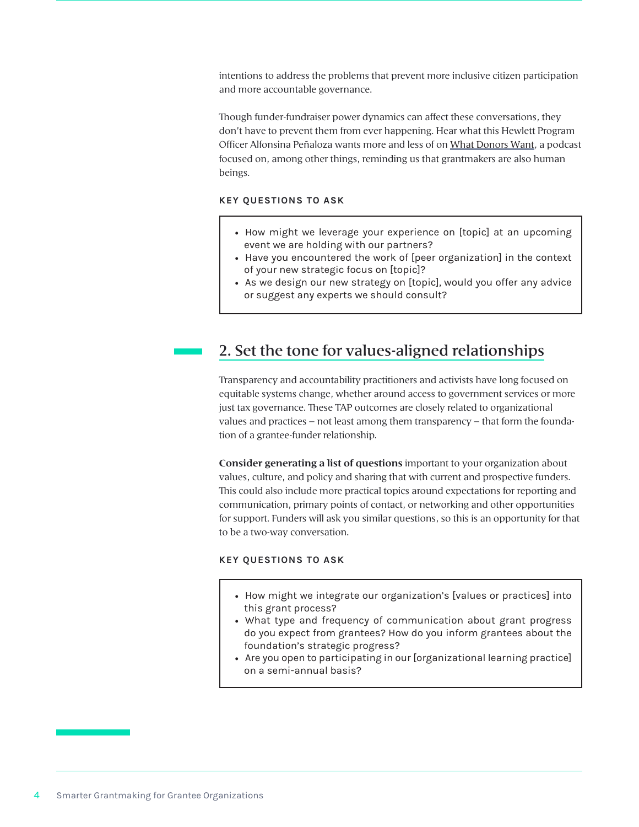intentions to address the problems that prevent more inclusive citizen participation and more accountable governance.

Though funder-fundraiser power dynamics can affect these conversations, they don't have to prevent them from ever happening. Hear what this Hewlett Program Officer Alfonsina Peñaloza wants more and less of on [What Donors Want](https://fundraising.co.uk/2017/07/09/what-donors-want-alfonsina-penaloza-the-hewlett-foundation/#.XKODzJhKg2w), a podcast focused on, among other things, reminding us that grantmakers are also human beings.

#### **KEY QUESTIONS TO ASK**

- How might we leverage your experience on [topic] at an upcoming event we are holding with our partners?
- Have you encountered the work of [peer organization] in the context of your new strategic focus on [topic]?
- As we design our new strategy on [topic], would you offer any advice or suggest any experts we should consult?

## 2. Set the tone for values-aligned relationships

Transparency and accountability practitioners and activists have long focused on equitable systems change, whether around access to government services or more just tax governance. These TAP outcomes are closely related to organizational values and practices – not least among them transparency – that form the foundation of a grantee-funder relationship.

**Consider generating a list of questions** important to your organization about values, culture, and policy and sharing that with current and prospective funders. This could also include more practical topics around expectations for reporting and communication, primary points of contact, or networking and other opportunities for support. Funders will ask you similar questions, so this is an opportunity for that to be a two-way conversation.

#### **KEY QUESTIONS TO ASK**

- How might we integrate our organization's [values or practices] into this grant process?
- What type and frequency of communication about grant progress do you expect from grantees? How do you inform grantees about the foundation's strategic progress?
- Are you open to participating in our [organizational learning practice] on a semi-annual basis?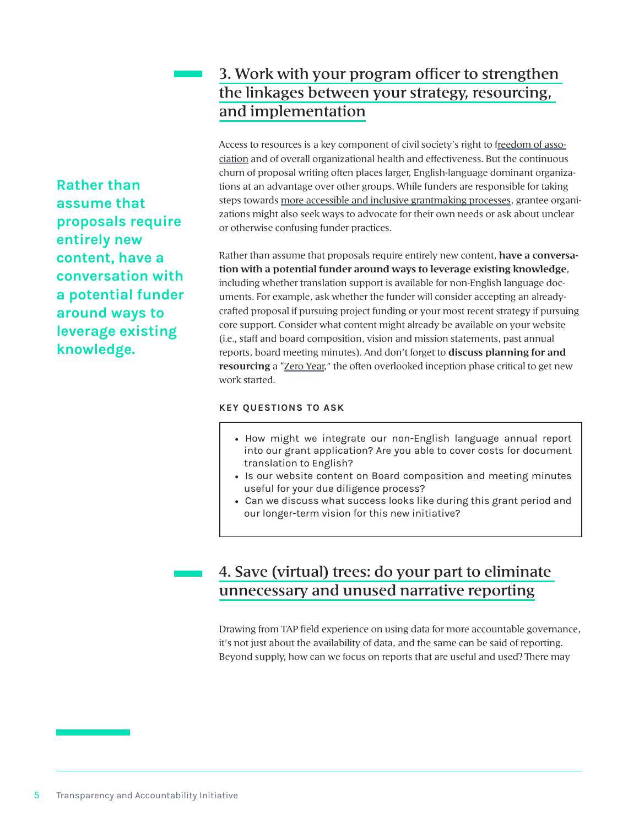# 3. Work with your program officer to strengthen the linkages between your strategy, resourcing, and implementation

Access to resources is a key component of civil society's right to f[reedom of asso](https://monitor.civicus.org/whatiscivicspace/)[ciation](https://monitor.civicus.org/whatiscivicspace/) and of overall organizational health and effectiveness. But the continuous churn of proposal writing often places larger, English-language dominant organizations at an advantage over other groups. While funders are responsible for taking steps towards [more accessible and inclusive grantmaking processes,](https://www.fordfoundation.org/ideas/equals-change-blog/posts/we-are-always-working-to-improve-our-grant-making-process-and-to-make-sure-our-systems-are-efficient-easy-to-use-and-accessible-to-everyone/) grantee organizations might also seek ways to advocate for their own needs or ask about unclear or otherwise confusing funder practices.

Rather than assume that proposals require entirely new content, **have a conversation with a potential funder around ways to leverage existing knowledge**, including whether translation support is available for non-English language documents. For example, ask whether the funder will consider accepting an alreadycrafted proposal if pursuing project funding or your most recent strategy if pursuing core support. Consider what content might already be available on your website (i.e., staff and board composition, vision and mission statements, past annual reports, board meeting minutes). And don't forget to **discuss planning for and resourcing** a "[Zero Year](https://hewlett.org/friday-note-the-zero-year/)," the often overlooked inception phase critical to get new work started.

#### **KEY QUESTIONS TO ASK**

- How might we integrate our non-English language annual report into our grant application? Are you able to cover costs for document translation to English?
- Is our website content on Board composition and meeting minutes useful for your due diligence process?
- Can we discuss what success looks like during this grant period and our longer-term vision for this new initiative?

# 4. Save (virtual) trees: do your part to eliminate unnecessary and unused narrative reporting

Drawing from TAP field experience on using data for more accountable governance, it's not just about the availability of data, and the same can be said of reporting. Beyond supply, how can we focus on reports that are useful and used? There may

**Rather than assume that proposals require entirely new content, have a conversation with a potential funder around ways to leverage existing knowledge.**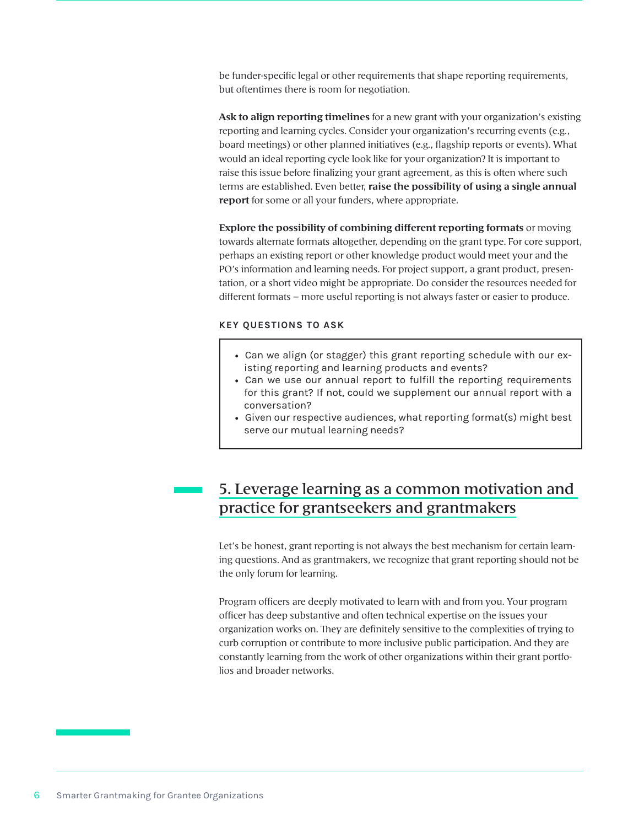be funder-specific legal or other requirements that shape reporting requirements, but oftentimes there is room for negotiation.

**Ask to align reporting timelines** for a new grant with your organization's existing reporting and learning cycles. Consider your organization's recurring events (e.g., board meetings) or other planned initiatives (e.g., flagship reports or events). What would an ideal reporting cycle look like for your organization? It is important to raise this issue before finalizing your grant agreement, as this is often where such terms are established. Even better, **raise the possibility of using a single annual report** for some or all your funders, where appropriate.

**Explore the possibility of combining different reporting formats** or moving towards alternate formats altogether, depending on the grant type. For core support, perhaps an existing report or other knowledge product would meet your and the PO's information and learning needs. For project support, a grant product, presentation, or a short video might be appropriate. Do consider the resources needed for different formats – more useful reporting is not always faster or easier to produce.

#### **KEY QUESTIONS TO ASK**

- Can we align (or stagger) this grant reporting schedule with our existing reporting and learning products and events?
- Can we use our annual report to fulfill the reporting requirements for this grant? If not, could we supplement our annual report with a conversation?
- Given our respective audiences, what reporting format(s) might best serve our mutual learning needs?

## 5. Leverage learning as a common motivation and practice for grantseekers and grantmakers

Let's be honest, grant reporting is not always the best mechanism for certain learning questions. And as grantmakers, we recognize that grant reporting should not be the only forum for learning.

Program officers are deeply motivated to learn with and from you. Your program officer has deep substantive and often technical expertise on the issues your organization works on. They are definitely sensitive to the complexities of trying to curb corruption or contribute to more inclusive public participation. And they are constantly learning from the work of other organizations within their grant portfolios and broader networks.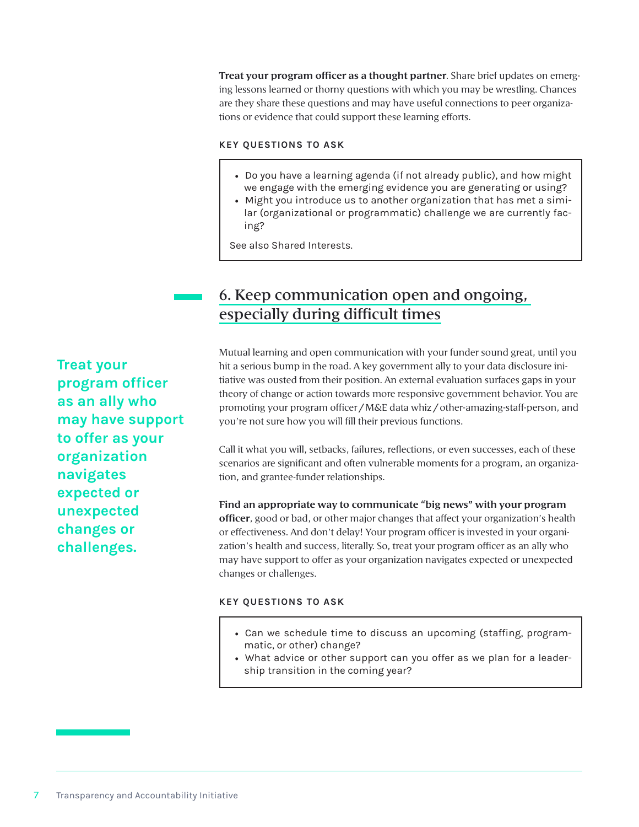**Treat your program officer as a thought partner**. Share brief updates on emerging lessons learned or thorny questions with which you may be wrestling. Chances are they share these questions and may have useful connections to peer organizations or evidence that could support these learning efforts.

#### **KEY QUESTIONS TO ASK**

- Do you have a learning agenda (if not already public), and how might we engage with the emerging evidence you are generating or using?
- Might you introduce us to another organization that has met a similar (organizational or programmatic) challenge we are currently facing?

See also Shared Interests.

## 6. Keep communication open and ongoing, especially during difficult times

**Treat your program officer as an ally who may have support to offer as your organization navigates expected or unexpected changes or challenges.**

Mutual learning and open communication with your funder sound great, until you hit a serious bump in the road. A key government ally to your data disclosure initiative was ousted from their position. An external evaluation surfaces gaps in your theory of change or action towards more responsive government behavior. You are promoting your program officer / M&E data whiz / other-amazing-staff-person, and you're not sure how you will fill their previous functions.

Call it what you will, setbacks, failures, reflections, or even successes, each of these scenarios are significant and often vulnerable moments for a program, an organization, and grantee-funder relationships.

**Find an appropriate way to communicate "big news" with your program officer**, good or bad, or other major changes that affect your organization's health or effectiveness. And don't delay! Your program officer is invested in your organization's health and success, literally. So, treat your program officer as an ally who may have support to offer as your organization navigates expected or unexpected changes or challenges.

#### **KEY QUESTIONS TO ASK**

- Can we schedule time to discuss an upcoming (staffing, programmatic, or other) change?
- What advice or other support can you offer as we plan for a leadership transition in the coming year?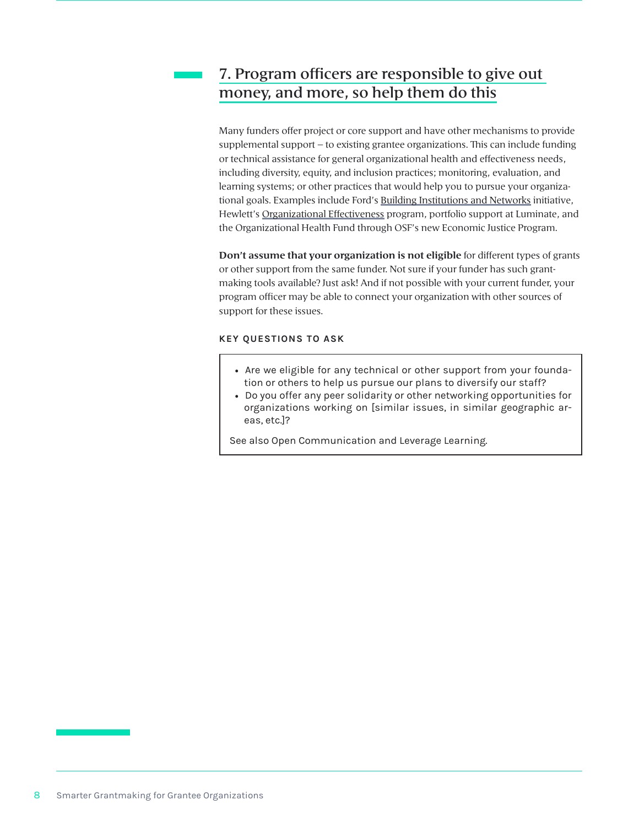## 7. Program officers are responsible to give out money, and more, so help them do this

Many funders offer project or core support and have other mechanisms to provide supplemental support – to existing grantee organizations. This can include funding or technical assistance for general organizational health and effectiveness needs, including diversity, equity, and inclusion practices; monitoring, evaluation, and learning systems; or other practices that would help you to pursue your organizational goals. Examples include Ford's [Building Institutions and Networks](https://www.fordfoundation.org/work/our-grants/building-institutions-and-networks/) initiative, Hewlett's [Organizational Effectiveness](https://hewlett.org/strategy/organizational-effectiveness/) program, portfolio support at Luminate, and the Organizational Health Fund through OSF's new Economic Justice Program.

**Don't assume that your organization is not eligible** for different types of grants or other support from the same funder. Not sure if your funder has such grantmaking tools available? Just ask! And if not possible with your current funder, your program officer may be able to connect your organization with other sources of support for these issues.

#### **KEY QUESTIONS TO ASK**

- Are we eligible for any technical or other support from your foundation or others to help us pursue our plans to diversify our staff?
- Do you offer any peer solidarity or other networking opportunities for organizations working on [similar issues, in similar geographic areas, etc.]?

See also Open Communication and Leverage Learning.